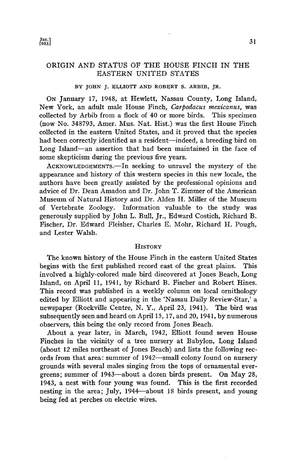# **ORIGIN AND STATUS OF THE HOUSE FINCH IN THE EASTERN UNITED STATES**

#### **BY JOHN J. ELLIOTT AND ROBERT S. ARBIB, JR.**

**ON January 17, 1948, at Hewlett, Nassau County, Long Island, New York, an adult male House Finch, Carpodacus mexicanus, was collected by Arbib from a flock of 40 or more birds. This specimen (now No. 348793, Amer. Mus. Nat. Hist.) was the first House Finch collected in the eastern United States, and it proved that the species had been correctly identified as a resident--indeed, a breeding bird on Long Island--an assertion that had been maintained in the face of some skepticism during the previous five years.** 

ACKNOWLEDGEMENTS.—In seeking to unravel the mystery of the appearance and history of this western species in this new locale, the **authors have been greatly assisted by the professional opinions and advice of Dr. Dean Areadon and Dr. John T. Zimmer of the American Museum of Natural History and Dr. Alden H. Miller of the Museum of Vertebrate Zoology. Information valuable to the study was**  generously supplied by John L. Bull, Jr., Edward Costich, Richard B. **Fischer, Dr. Edward Fleisher, Charles E. Mohr, Richard H. Pough, and Lester Walsh.** 

#### **HISTORY**

**The known history of the House Finch in the eastern United States begins with the first published record east of the great plains. This involved a highly-colored male bird discovered at Jones Beach, Long Island, on April 11, 1941, by Richard B. Fischer and Robert Hines. This record was published in a weekly column on local ornithology edited by Elliott and appearing in the 'Nassau Daily Review-Star,' a newspaper (Rockville Centre, N.Y., April 23, 1941). The bird was subsequently seen and heard on April 15, 17, and 20, 1941, by numerous observers, this being the only record from Jones Beach.** 

**About a year later, in March, 1942, Elliott found seven House Finches in the vicinity of a tree nursery at Babylon, Long Island (about 12 miles northeast of Jones Beach) and lists the following records from that area: summer of 1942--small colony found on nursery grounds with several males singing from the tops of ornamental evergreens; summer of 1943--about a dozen birds present. On May 28, 1943, a nest with four young was found. This is the first recorded**  nesting in the area; July, 1944—about 18 birds present, and young **being fed at perches on electric wires.**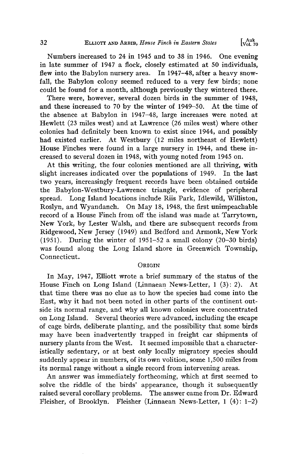**Numbers increased to 24 in 1945 and to 38 in 1946. One evening in late summer of 1947 a flock, closely estimated at 50 individuals, flew into the Babylon nursery area. In 1947-48, after a heavy snowfall, the Babylon colony seemed reduced to a very few birds; none could be found for a month, although previously they wintered there.** 

**There were, however, several dozen birds in the summer of 1948, and these increased to 70 by the winter of 1949-50. At the time of the absence at Babylon in 1947-48, large increases were noted at Hewlett (23 miles west) and at Lawrence (26 miles west) where other colonies had definitely been known to exist since 1944, and possibly had existed earlier. At Westbury (12 miles northeast of Hewlett) House Finches were found in a large nursery in 1944, and these increased to several dozen in 1948, with young noted from 1945 on.** 

**At this writing, the four colonies mentioned are all thriving, with slight increases indicated over the populations of 1949. In the last two years, increasingly frequent records have been obtained outside the Babylon-Westbury-Lawrence triangle, evidence of peripheral spread. Long Island locations include Riis Park, Idlewild, Williston, Roslyn, and Wyandanch. On May 18, 1948, the first unimpeachable record of a House Finch from off the island was made at Tarrytown, New York, by Lester Walsh, and there are subsequent records from Ridgewood, New Jersey (1949) and Bedford and Armonk, New York (1951). During the winter of 1951-52 a small colony (20-30 birds) was found along the Long Island shore in Greenwich Township, Connecticut.** 

#### **ORIGIN**

**In May, 1947, Elliott wrote a brief summary of the status of the House Finch on Long Island (Linnaean News-Letter, 1 (3): 2). that time there was no clue as to how the species had come into the East, why it had not been noted in other parts of the continent outside its normal range, and why all known colonies were concentrated on Long Island. Several theories were advanced, including the escape of cage birds, deliberate planting, and the possibility that some birds may have been inadvertently trapped in freight car shipments of nursery plants from the West. It seemed impossible that a characteristically sedentary, or at best only locally migratory species should suddenly appear in numbers, of its own volition, some 1,500 miles from its normal range without a single record from intervening areas.** 

**An answer was immediately forthcoming, which at first seemed to solve the riddle of the birds' appearance, though it subsequently raised several corollary problems. The answer came from Dr. Edward Fleisher, of Brooklyn. Fleisher (Linnaean News-Letter, 1 (4): 1-2)**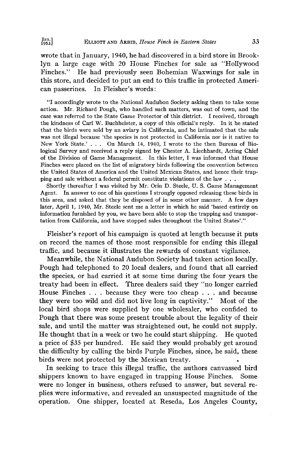**wrote that in January, 1940, he had discovered in a bird store in Brooklyn a large cage with 20 House Finches for sale as "Hollywood**  Finches." He had previously seen Bohemian Waxwings for sale in **this store, and decided to put an end to this traffic in protected American passerines. In Fleisher's words:** 

**"I accordingly wrote to the National Audubon Society asking them to take some action. Mr. Richard Pough, who handled such matters, was out of town, and the case was referred to the State Game Protector of this district. I received, through the kindness of Carl W. Buchheister, a copy of this official's reply. In it he stated that the birds were sold by an aviary in California, and he intimated that the sale was not illegal because 'the species is not protected in California nor is it native to New York State.' . . . On March 14, 1940, I wrote to the then Bureau of Biological Survey and received a reply signed by Chester A. Liechhardt, Acting Chief of the Division of Game Management. In this letter, I was informed that House Finches were placed on the list of migratory birds following the convention between the United States of America and the United Mexican States, and hence their trapping and sale without a federal permit constitute violations of the law . . .** 

**Shortly thereafter I was visited by Mr. Orin D. Steele, U.S. Game Management Agent. In answer to one of his questions I strongly opposed releasing these birds in this area, and asked that they be disposed of in some other manner. A few days later, April 1, 1940, Mr. Steele sent me a letter in which he said 'based entirely on information furnished by you, we have been able to stop the trapping and transportation from California, and have stopped sales throughout the United States'."** 

**Fleisher's report of his campaign is quoted at length because it puts on record the names of those most responsible for ending this illegal traffic, and because it illustrates the rewards of constant vigilance.** 

**Meanwhile, the National Audubon Society had taken action locally. Pough had telephoned to 20 local dealers, and found that all carried the species, or had carried it at some time during the four years the treaty had been in effect. Three dealers said they "no longer carried House Finches . . . because they were too cheap . . . and because they were too wild and did not live long in captivity." Most of the local bird shops were supplied by one wholesaler, who confided to Pough that there was some present trouble about the legality of their sale, and until the matter was straightened out, he could not supply. He thought that in a week or two he could start shipping. He quoted a price of \$35 per hundred. He said they would probably get around the difficulty by calling the birds Purple Finches, since, he said, these birds were not protected by the Mexican treaty.** 

**In seeking to trace this illegal traffic, the authors canvassed bird shippers known to have engaged in trapping House Finches. Some were no longer in business, others refused to answer, but several replies were informative, and revealed an unsuspected magnitude of the operation. One shipper, located at Reseda, Los Angeles County,** 

 $\begin{bmatrix} \text{Jan.} \\ \text{1053} \end{bmatrix}$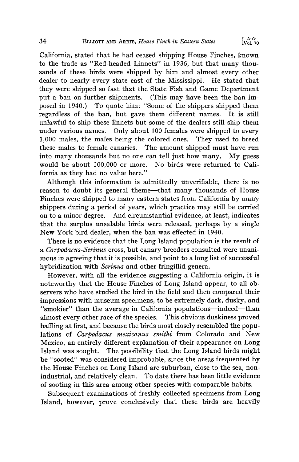**California, stated that he had ceased shipping House Finches, known to the trade as "Red-headed Linnets" in 1936, but that many thousands of these birds were shipped by him and almost every other dealer to nearly every state east of the Mississippi. He stated that they were shipped so fast that the State Fish and Game Department put a ban on further shipments. (This may have been the ban imposed in 1940.) To quote him: "Some of the shippers shipped them regardless of the ban, but gave them different names. It is still unlawful to ship these linnets but some of the dealers still ship them under various names. Only about 100 females were shipped to every 1,000 males, the males being the colored ones. They used to breed these males to female canaries. The amount shipped must have run**  into many thousands but no one can tell just how many. **would be about 100,000 or more. No birds were returned to California as they had no value here."** 

**Although this information is admittedly unverifiable, there is no reason to doubt its general theme--that many thousands of House Finches were shipped to many eastern states from California by many shippers during a period of years, which practice may still be carried on to a minor degree. And circumstantial evidence, at least, indicates that the surplus unsalable birds were released, perhaps by a single New York bird dealer, when the ban was effected in 1940.** 

**There is no evidence that the Long Island population is the result of a Carpodacus-Serinus cross, but canary breeders consulted were unanimous in agreeing that it is possible, and point to a long list of successful hybridization with Serinus and other fringillid genera.** 

**However, with all the evidence suggesting a California origin, it is noteworthy that the House Finches of Long Island appear, to all observers who have studied the bird in the field and then compared their impressions with museum specimens, to be extremely dark, dusky, and "smokier" than the average in California populations--indeed--than almost every other race of the species. This obvious duskiness proved baffling at first, and because the birds most closely resembled the populations of Carpodacus mexicanus smithi from Colorado and New Mexico, an entirely different explanation of their appearance on Long Island was sought. The possibility that the Long Island birds might be "sooted" was considered improbable, since the areas frequented by the House Finches on Long Island are suburban, close to the sea, nonindustrial, and relatively clean. To date there has been little evidence of sooting in this area among other species with comparable habits.** 

**Subsequent examinations of freshly collected specimens from Long Island, however, prove conclusively that these birds are heavily**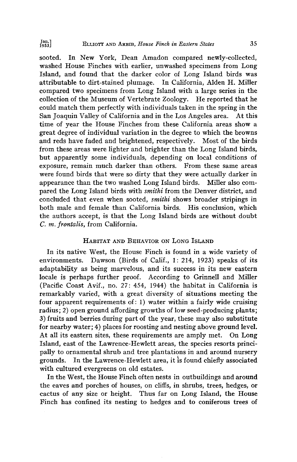**sooted. In New York, Dean Amadon compared newly-collected, washed House Finches with earlier, unwashed specimens from Long Island, and found that the darker color of Long Island birds was attributable to dirt-stained plumage. In California, Alden H. Miller**  compared two specimens from Long Island with a large series in the **collection of the Museum of Vertebrate Zoology. He reported that he could match them perfectly with individuals taken in the spring in the San Joaquin Valley of California and in the Los Angeles area. At this time of year the House Finches from these California areas show a great degree of individual variation in the degree to which the browns and reds have faded and brightened, respectively. Most of the birds from these areas were lighter and brighter than the Long Island birds, but apparently some individuals, depending on local conditions of exposure, remain much darker than others. From these same areas were found birds that were so dirty that they were actually darker in appearance than the two washed Long Island birds. Miller also compared the Long Island birds with smithi from the Denver district, and concluded that even when sooted, smithi shows broader stripings in both male and female than California birds. His conclusion, which the authors accept, is that the Long Island birds are without doubt C. m. frontalis, from California.** 

#### **HABITAT AND BEHAVIOR ON LONG ISLAND**

**In its native West, the House Finch is found in a wide variety of environments. Dawson (Birds of Calif., 1: 214, 1923) speaks of its adaptability as being marvelous, and its success in its new eastern locale is perhaps further proof. According to Grinnell and Miller (Pacific Coast Avif., no. 27: 454, 1944) the habitat in California is remarkably varied, with a great diversity of situations meeting the four apparent requirements of: 1) water within a fairly wide cruising radius; 2) open ground affording growths of low seed-producing plants; 3) fruits and berries during part of the year, these may also substitute for nearby water; 4) places for roosting and nesting above ground level.**  At all its eastern sites, these requirements are amply met. **Island, east of the Lawrence-Hewlett areas, the species resorts principally to ornamental shrub and tree plantations in and around nursery**  In the Lawrence-Hewlett area, it is found chiefly associated **with cultured evergreens on old estates.** 

**In the West, the House Finch often nests in outbuildings and around the eaves and porches of houses, on cliffs, in shrubs, trees, hedges, or cactus of any size or height. Thus far on Long Island, the House Finch has confined its nesting to hedges and to coniferous trees of**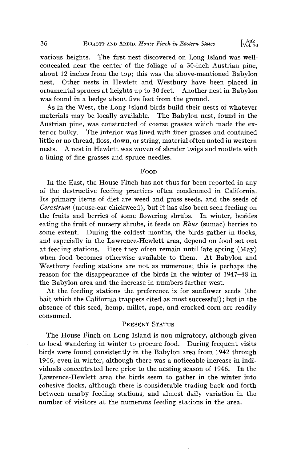**various heights. The first nest discovered on Long Island was wellconcealed near the center of the foliage of a 30-inch Austrian pine, about 12 inches from the top; this was the above-mentioned Babylon**  Other nests in Hewlett and Westbury have been placed in **ornamental spruces at heights up to 30 feet. Another nest in Babylon was found in a hedge about five feet from the ground.** 

**As in the West, the Long Island birds build their nests of whatever materials may be locally available. The Babylon nest, found in the Austrian pine, was constructed of coarse grasses which made the exterior bulky. The interior was lined with finer grasses and contained little or no thread, floss, down, or string, material often noted in western**  A nest in Hewlett was woven of slender twigs and rootlets with **a lining of fine grasses and spruce needles.** 

# **Food**

**In the East, the House Finch has not thus far been reported in any of the destructive feeding practices often condemned in California. Its primary items of diet are weed and grass seeds, and the seeds of Cerastrum (mouse-ear chickweed), but it has also been seen feeding on the fruits and berries of some flowering shrubs. In winter, besides eating the fruit of nursery shrubs, it feeds on Rhus (sumac) berries to some extent. During the coldest months, the birds gather in flocks, and especially in the Lawrence-Hewlett area, depend on food set out**  Here they often remain until late spring (May) **when food becomes otherwise available to them. At Babylon and Westbury feeding stations are not as numerous; this is perhaps the reason for the disappearance of the birds in the winter of 1947-48 in the Babylon area and the increase in numbers farther west.** 

**At the feeding stations the preference is for sunflower seeds (the bait which the California trappers cited as most successful); but in the absence of this seed, hemp, millet, rape, and cracked corn are readily consumed.** 

# **PRESENT STATUS**

**The House Finch on Long Island is non-migratory, although given to local wandering in winter to procure food. During frequent visits birds were found consistently in the Babylon area from 1942 through 1946, even in winter, although there was a noticeable increase in indi**viduals concentrated here prior to the nesting season of 1946. **Lawrence-Hewlett area the birds seem to gather in the winter into cohesive flocks, although there is considerable trading back and forth between nearby feeding stations, and almost daily variation in the number of visitors at the numerous feeding stations in the area.**